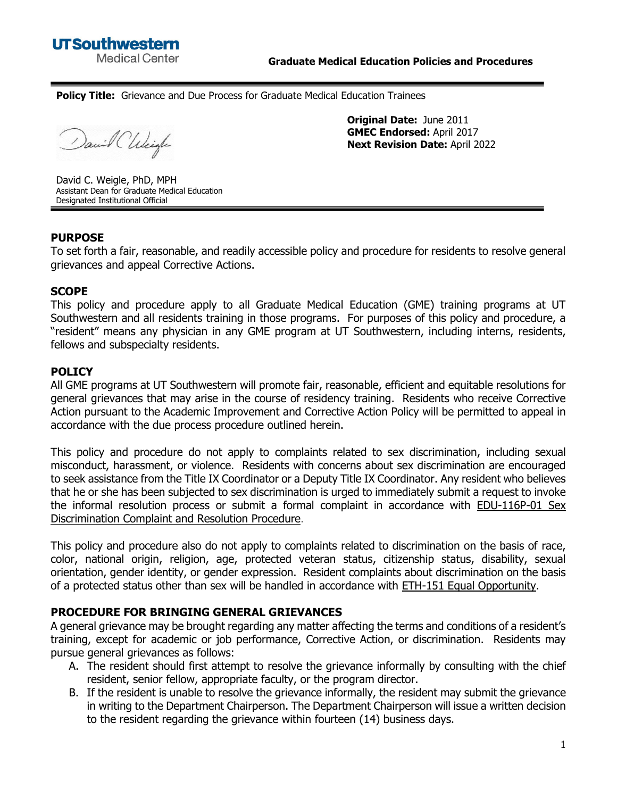**Policy Title:** Grievance and Due Process for Graduate Medical Education Trainees

David Chleigh

**Original Date:** June 2011 **GMEC Endorsed:** April 2017 **Next Revision Date:** April 2022

David C. Weigle, PhD, MPH Assistant Dean for Graduate Medical Education Designated Institutional Official

#### **PURPOSE**

To set forth a fair, reasonable, and readily accessible policy and procedure for residents to resolve general grievances and appeal Corrective Actions.

#### **SCOPE**

This policy and procedure apply to all Graduate Medical Education (GME) training programs at UT Southwestern and all residents training in those programs. For purposes of this policy and procedure, a "resident" means any physician in any GME program at UT Southwestern, including interns, residents, fellows and subspecialty residents.

## **POLICY**

All GME programs at UT Southwestern will promote fair, reasonable, efficient and equitable resolutions for general grievances that may arise in the course of residency training. Residents who receive Corrective Action pursuant to the Academic Improvement and Corrective Action Policy will be permitted to appeal in accordance with the due process procedure outlined herein.

This policy and procedure do not apply to complaints related to sex discrimination, including sexual misconduct, harassment, or violence. Residents with concerns about sex discrimination are encouraged to seek assistance from the [Title IX Coordinator or a Deputy Title IX Coordinator.](http://www.utsouthwestern.edu/education/student-services/title-ix/coordinators.html) Any resident who believes that he or she has been subjected to sex discrimination is urged to immediately submit a request to invoke the informal resolution process or submit a formal complaint in accordance with [EDU-116P-01 Sex](http://www.utsouthwestern.net/intranet/administration/policy-library/handbook/chapter-10/edu-116p-01-sex-discrimination-complaint-and-resolution.html)  [Discrimination Complaint and Resolution Procedure.](http://www.utsouthwestern.net/intranet/administration/policy-library/handbook/chapter-10/edu-116p-01-sex-discrimination-complaint-and-resolution.html)

This policy and procedure also do not apply to complaints related to discrimination on the basis of race, color, national origin, religion, age, protected veteran status, citizenship status, disability, sexual orientation, gender identity, or gender expression. Resident complaints about discrimination on the basis of a protected status other than sex will be handled in accordance with **ETH-151 Equal Opportunity**.

#### **PROCEDURE FOR BRINGING GENERAL GRIEVANCES**

A general grievance may be brought regarding any matter affecting the terms and conditions of a resident's training, except for academic or job performance, Corrective Action, or discrimination. Residents may pursue general grievances as follows:

- A. The resident should first attempt to resolve the grievance informally by consulting with the chief resident, senior fellow, appropriate faculty, or the program director.
- B. If the resident is unable to resolve the grievance informally, the resident may submit the grievance in writing to the Department Chairperson. The Department Chairperson will issue a written decision to the resident regarding the grievance within fourteen (14) business days.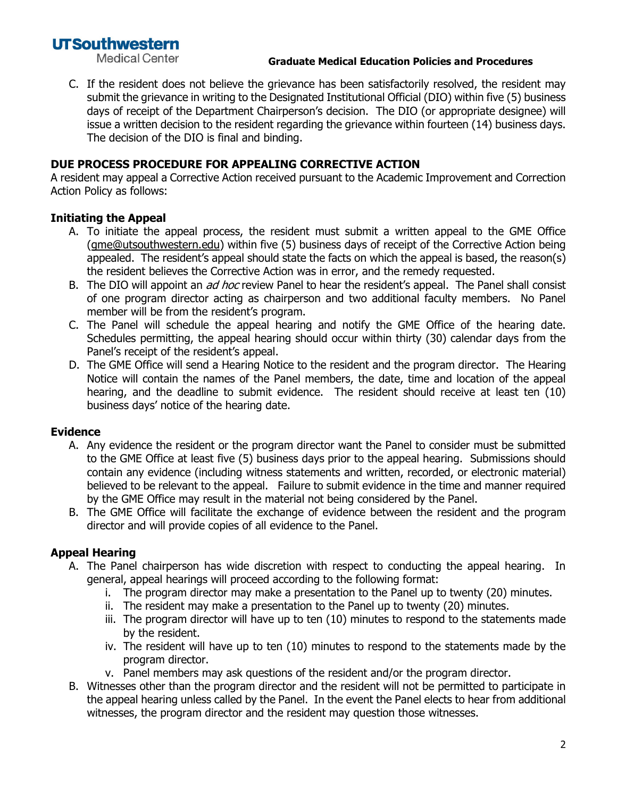# **UTSouthwestern**

**Medical Center** 

#### **Graduate Medical Education Policies and Procedures**

C. If the resident does not believe the grievance has been satisfactorily resolved, the resident may submit the grievance in writing to the Designated Institutional Official (DIO) within five (5) business days of receipt of the Department Chairperson's decision. The DIO (or appropriate designee) will issue a written decision to the resident regarding the grievance within fourteen (14) business days. The decision of the DIO is final and binding.

## **DUE PROCESS PROCEDURE FOR APPEALING CORRECTIVE ACTION**

A resident may appeal a Corrective Action received pursuant to the Academic Improvement and Correction Action Policy as follows:

#### **Initiating the Appeal**

- A. To initiate the appeal process, the resident must submit a written appeal to the GME Office [\(gme@utsouthwestern.edu\)](mailto:gme@utsouthwestern.edu) within five (5) business days of receipt of the Corrective Action being appealed. The resident's appeal should state the facts on which the appeal is based, the reason(s) the resident believes the Corrective Action was in error, and the remedy requested.
- B. The DIO will appoint an *ad hoc* review Panel to hear the resident's appeal. The Panel shall consist of one program director acting as chairperson and two additional faculty members. No Panel member will be from the resident's program.
- C. The Panel will schedule the appeal hearing and notify the GME Office of the hearing date. Schedules permitting, the appeal hearing should occur within thirty (30) calendar days from the Panel's receipt of the resident's appeal.
- D. The GME Office will send a Hearing Notice to the resident and the program director. The Hearing Notice will contain the names of the Panel members, the date, time and location of the appeal hearing, and the deadline to submit evidence. The resident should receive at least ten (10) business days' notice of the hearing date.

#### **Evidence**

- A. Any evidence the resident or the program director want the Panel to consider must be submitted to the GME Office at least five (5) business days prior to the appeal hearing. Submissions should contain any evidence (including witness statements and written, recorded, or electronic material) believed to be relevant to the appeal. Failure to submit evidence in the time and manner required by the GME Office may result in the material not being considered by the Panel.
- B. The GME Office will facilitate the exchange of evidence between the resident and the program director and will provide copies of all evidence to the Panel.

## **Appeal Hearing**

- A. The Panel chairperson has wide discretion with respect to conducting the appeal hearing. In general, appeal hearings will proceed according to the following format:
	- i. The program director may make a presentation to the Panel up to twenty (20) minutes.
	- ii. The resident may make a presentation to the Panel up to twenty (20) minutes.
	- iii. The program director will have up to ten (10) minutes to respond to the statements made by the resident.
	- iv. The resident will have up to ten (10) minutes to respond to the statements made by the program director.
	- v. Panel members may ask questions of the resident and/or the program director.
- B. Witnesses other than the program director and the resident will not be permitted to participate in the appeal hearing unless called by the Panel. In the event the Panel elects to hear from additional witnesses, the program director and the resident may question those witnesses.